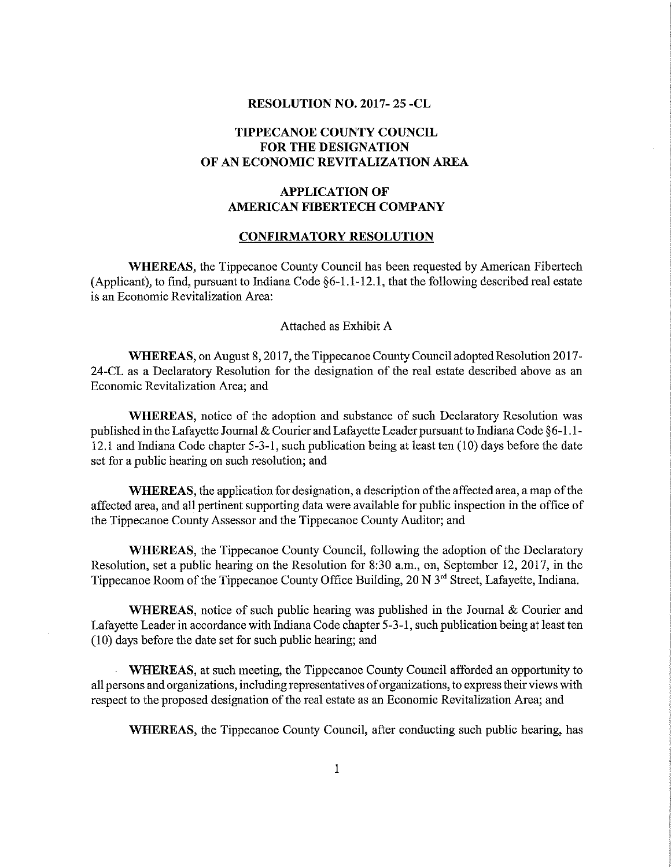### RESOLUTION NO. 2017- 25 -CL

# TIPPECANOE COUNTY COUNCIL FOR THE DESIGNATION OF AN ECONOMIC REVITALIZATION AREA

# APPLICATION OF AMERICAN FIBERTECH COMPANY

#### CONFIRMATORY RESOLUTION

WHEREAS, the Tippecanoe County Council has been requested by American Fibertech (Applicant), to find, pursuant to Indiana Code §6-l.l-12,l, that the following described real estate is an Economic Revitalization Area:

### Attached as Exhibit A

WHEREAS, on August 8, 2017, the Tippecanoe County Council adopted Resolution 2017-24-CL as <sup>a</sup> Declaratory Resolution for the designation of the real estate described above as an Economic Revitalization Area; and

WHEREAS, notice of the adoption and substance of such Declaratory Resolution was published in the Lafayette Journal & Courier and Lafayette Leader pursuant to Indiana Code §6-1.1-12.1 and Indiana Code chapter 5-3-1, such publication being at least ten (10) days before the date set for <sup>a</sup> public hearing on such resolution; and

WHEREAS, the application for designation, a description of the affected area, a map of the affected area, and all pertinent supporting data were available for public inspection in the office of the Tippecanoe County Assessor and the Tippecanoe County Auditor; and

WHEREAS, the Tippecanoe County Council, following the adoption of the Declaratory Resolution, set a public hearing on the Resolution for 8:30 a.m., on, September 12, 2017, in the Tippecanoe Room of the Tippecanoe County Office Building, 20 N 3<sup>rd</sup> Street, Lafayette, Indiana.

WHEREAS, notice of such public hearing was published in the Journal  $\&$  Courier and Lafayette Leader in accordance with Indiana Code chapter 5-3-1, such publication being at least ten (10) days before the date set for such public hearing; and

WHEREAS, at such meeting, the Tippecanoe County Council afforded an opportunity to all persons and organizations, including representatives of organizations, to express their views with respect to the proposed designation of the real estate as an Economic Revitalization Area; and

WHEREAS, the Tippecanoe County Council, after conducting such public hearing, has

as":Arum-la.-\_.M..\_W\_U¢\_.fifiu,ua.n\_ah\_e \_.~M..n..~ a. "than". .m. J\\_'\\_ a. a. x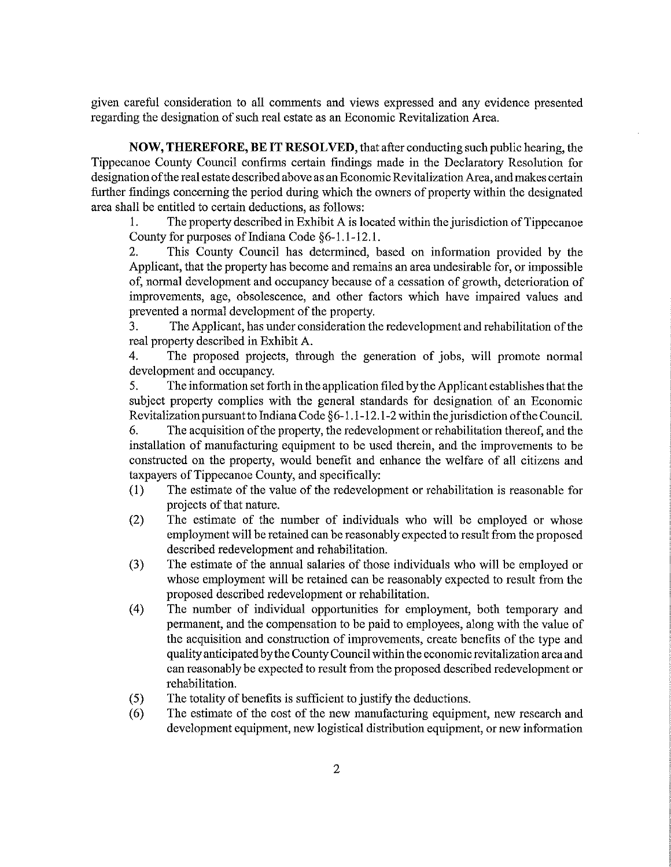given careful consideration to all comments and views expressed and any evidence presented regarding the designation of such real estate as an Economic Revitalization Area.

NOW, THEREFORE, BE IT RESOLVED, that after conducting such public hearing, the Tippecanoe County Council confirms certain findings made in the Declaratory Resolution for designation of the real estate described above as an Economic Revitalization Area, and makes certain further findings concerning the period during which the owners of property within the designated area shall be entitled to certain deductions, as follows:

1. The property described in Exhibit A is located within the jurisdiction ofTippecanoe County for purposes of Indiana Code  $§6-1.1-12.1$ .

2. This County Council has determined, based on information provided by the Applicant, that the property has become and remains an area undesirable for, or impossible of, normal development and occupancy because of <sup>a</sup> cessation of growth, deterioration of improvements, age, obsolescence, and other factors which have impaired values and prevented <sup>a</sup> normal development of the property.

3. The Applicant, has under consideration the redevelopment and rehabilitation of the real property described in Exhibit A.

4. The proposed projects, through the generation of jobs, will promote normal development and occupancy.

5. The information set forth in the application filed by the Applicant establishes that the subject property complies with the general standards for designation of an Economic Revitalization pursuant to Indiana Code  $\S6-1.1-12.1-2$  within the jurisdiction of the Council.

6. The acquisition ofthe property, the redevelopment or rehabilitation thereof, and the installation of manufacturing equipment to be used therein, and the improvements to be constructed on the property, would benefit and enhance the welfare of all citizens and taxpayers of Tippecanoe County, and specifically:

- (I) The estimate of the value of the redevelopment or rehabilitation is reasonable for projects of that nature.
- (2) The estimate of the number of individuals who will be employed or whose employment will be retained can be reasonably expected to result from the proposed described redevelopment and rehabilitation.
- (3) The estimate of the annual salaries of those individuals who will be employed or whose employment will be retained can be reasonably expected to result from the proposed described redevelopment or rehabilitation.
- (4) The number of individual opportunities for employment, both temporary and permanent, and the compensation to be paid to employees, along with the value of the acquisition and construction of improvements, create benefits of the type and quality anticipated by the County Council within the economic revitalization area and can reasonably be expected to result from the proposed described redevelopment or rehabilitation.
- (5) The totality of benefits is sufficient to justify the deductions.
- (6) The estimate of the costof the new manufacturing equipment, new research and development equipment, new logistical distribution equipment, or new information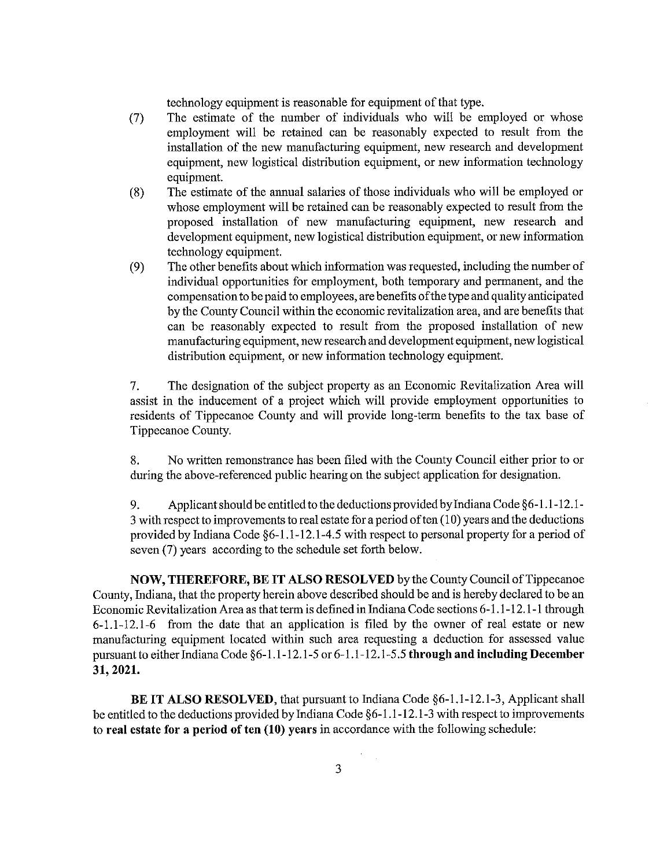technology equipment is reasonable for equipment of that type.

- (7) The estimate of the number of individuals who will be employed or whose employment will be retained can be reasonably expected to result from the installation of the new manufacturing equipment, new research and development equipment, new logistical distribution equipment, or new information technology equipment.
- (8) The estimate of the annual salaries of those individuals who will be employed or whose employment will be retained can be reasonably expected to result from the proposed installation of new manufacturing equipment, new research and development equipment, new logistical distribution equipment, or new information technology equipment.
- (9) The other benefits about which information was requested, including the number of individual opportunities for employment, both temporary and permanent, and the compensation to be paid to employees, are benefits ofthe type and quality anticipated by the County Council within the economic revitalization area, and are benefits that can be reasonably expected to result from the proposed installation of new manufacturing equipment, new research and development equipment, new logistical distribution equipment, or new information technology equipment.

7. The designation of the subject property as an Economic Revitalization Area will assist in the inducement of <sup>a</sup> project which will provide employment opportunities to residents of Tippecanoe County and will provide long-term benefits to the tax base of Tippecanoe County.

8. No written remonstrance has been filed with the County Council either prior to or during the above-referenced public hearing on the subject application for designation.

9. Applicant should be entitled to the deductions provided by Indiana Code  $\S6-1.1-12.1-$ <sup>3</sup> with respect to improvements to real estate for <sup>a</sup> period often (10) years and the deductions provided by Indiana Code §6-1.1-12.1-4.5 with respect to personal property for a period of seven (7) years according to the schedule set forth below.

NOW, THEREFORE, BE IT ALSO RESOLVED by the County Council ofTippecanoe County, Indiana, that the property herein above described should be and is hereby declared to be an Economic Revitalization Area as that term is defined in Indiana Code sections 6-1.1-12.1-1 through  $6-1.1-12.1-6$  from the date that an application is filed by the owner of real estate or new manufacturing equipment located within such area requesting a deduction for assessed value pursuant to either Indiana Code §6-1.1-12.1-5 or 6-1.1-12.1-5.5 through and including December 31,2021.

BE IT ALSO RESOLVED, that pursuant to Indiana Code §6-1.1-12.1-3, Applicant shall be entitled to the deductions provided by Indiana Code §6-l .1-12. 1-3 with respect to improvements to real estate for <sup>a</sup> period of ten (10) years in accordance with the following schedule: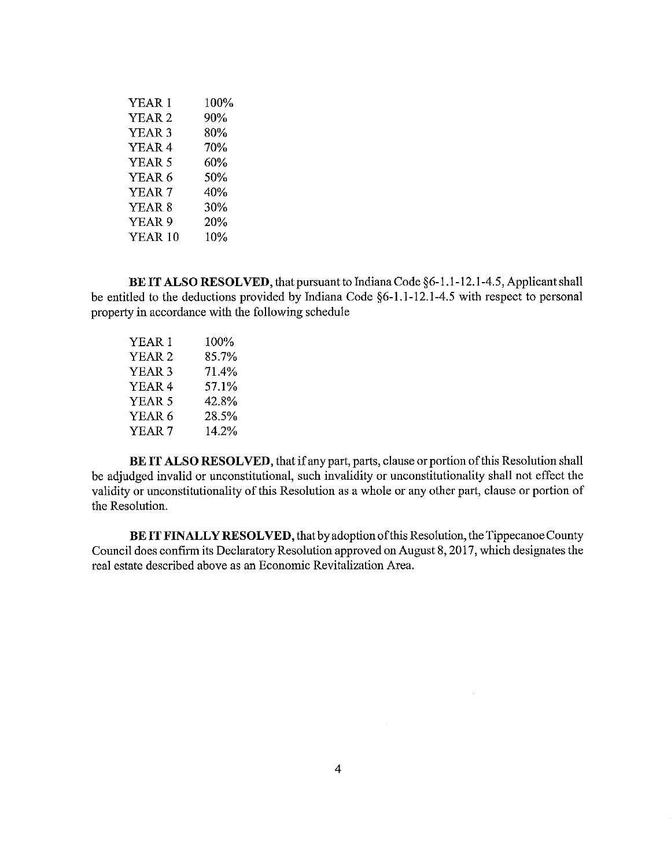| YEAR 1            | 100% |
|-------------------|------|
| YEAR <sub>2</sub> | 90%  |
| YEAR <sub>3</sub> | 80%  |
| YEAR <sub>4</sub> | 70%  |
| YEAR <sub>5</sub> | 60%  |
| YEAR <sub>6</sub> | 50%  |
| YEAR <sub>7</sub> | 40%  |
| YEAR 8            | 30%  |
| YEAR <sub>9</sub> | 20%  |
| YEAR 10           | 10%  |

BE IT ALSO RESOLVED, that pursuant to Indiana Code §6-1.1-12.1-4.5, Applicant shall be entitled to the deductions provided by Indiana Code §6-1.1-12.1-4.5 with respect to personal property in accordance with the following schedule

| YEAR 1            | 100%  |  |
|-------------------|-------|--|
| YEAR <sub>2</sub> | 85.7% |  |
| YEAR 3            | 71.4% |  |
| YEAR 4            | 57.1% |  |
| YEAR 5            | 42.8% |  |
| YEAR 6            | 28.5% |  |
| YEAR <sub>7</sub> | 14.2% |  |

BE IT ALSO RESOLVED, that if any part, parts, clause or portion of this Resolution shall be adjudged invalid or unconstitutional, such invalidity or unconstitutionality shall not effect the validity or unconstitutionality of this Resolution as <sup>a</sup> whole or any other part, clause or portion of the Resolution.

BE IT FINALLY RESOLVED, that by adoption of this Resolution, the Tippecanoe County Council does confirm its Declaratory Resolution approved on August 8, 2017, which designates the real estate described above as an Economic Revitalization Area.

 $\sim 10^7$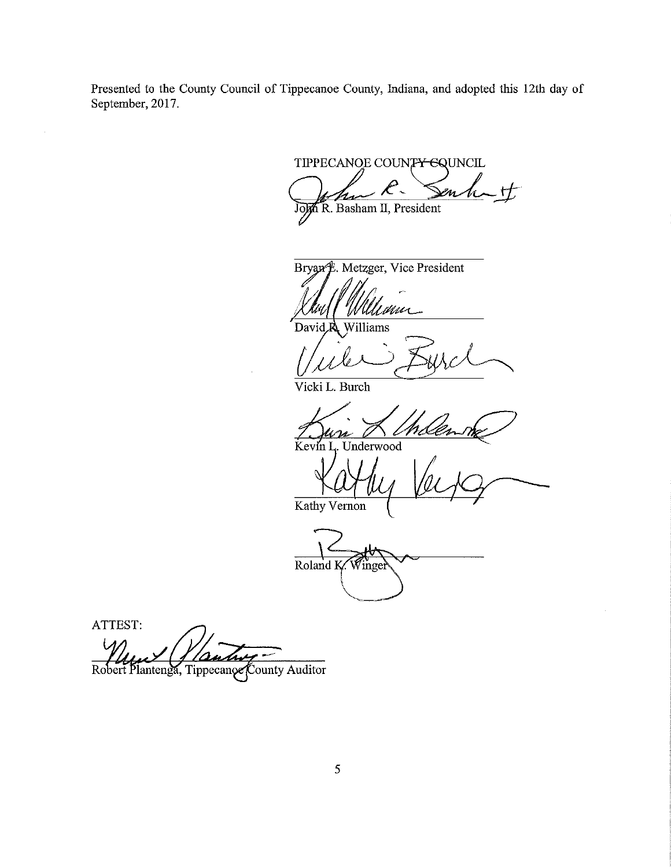Presented to the County Council of Tippecanoe County, Indiana, and adopted this 12th day of September, 2017.

TIPPECANOE COUNTY EQUNCIL  $\mathcal{\mathscr{L}}$ n  $H$ John R. Basham II, President

Bryan f. Metzger, Vice President

inu Williams David<sub>R</sub>

Vicki L. Burch

 $Kevin I$ Underwood

Kathy Vernon

 $\overrightarrow{\text{Roland K}}$ inge

ATTEST: Robert Plantenga, Tippecanoe County Auditor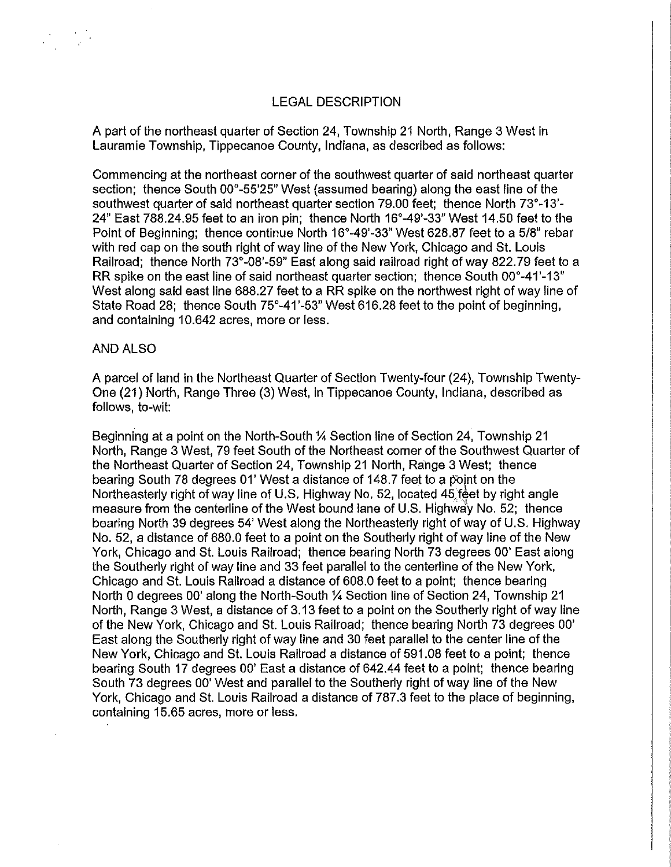# LEGAL DESCRIPTION

A part of the northeast quarter of Section 24, Township 21 North, Range 3 West in Lauramie Township, Tippecanoe County, Indiana, as described as follows:

Commencing at the northeast corner of the southwest quarter of said northeast quarter section; thence South  $00^{\circ}$ -55'25" West (assumed bearing) along the east line of the southwest quarter of said northeast quarter section 79.00 feet; thence North 73°-13'- $24"$  East 788.24.95 feet to an iron pin; thence North  $16^{\circ}$ -49'-33" West 14.50 feet to the Point of Beginning; thence continue North 16°-49'-33" West 628.87 feet to a 518" rebar with red cap on the south right of way line of the New York, Chicago and St. Louis Railroad; thence North 73°-08'-59" East along said railroad right of way 822.79 feet to a RR spike on the east line of said northeast quarter section; thence South 00°-41'-13" West along said east line 688.27 feet to a RR spike on the northwest right of way line of State Road 28; thence South 75°-41'-53" West 616.28 feet to the point of beginning, and containing 10.642 acres, more or less.

### AND ALSO

A parcel of land in the Northeast Quarter of Section Twenty-four (24), Township Twenty-One (21) North, Range Three (3) West, in Tippecanoe County, Indiana, described as follows, to-wit:

Beginning at a point on the North-South 1/4 Section line of Section 24, Township 21 North, Range 3 West, 79 feet South of the Northeast corner of the Southwest Quarter of the Northeast Quarter of Section 24, Township 21 North, Range 3 West; thence bearing South 78 degrees 01' West <sup>a</sup> distance of 148.7 feet to <sup>a</sup> point on the Northeasterly right of way line of U.S. Highway No. 52, located 45 feet by right angle measure from the centerline of the West bound lane of U.S. Highway No. 52; thence bearing North 39 degrees 54' West along the Northeasterly right of way of U.S. Highway No. 52, a distance of 680.0 feet to a point on the Southerly right of way line of the New York, Chicago and St. Louis Railroad; thence bearing North 73 degrees 00' East along the Southerly right of way line and 33 feet parallel to the centerline of the New York, Chicago and St. Louis Railroad <sup>a</sup> distance of 6080 feet to <sup>a</sup> point; thence bearing North 0 degrees 00' along the North-South 1/4 Section line of Section 24, Township 21 North, Range 3 West, a distance of 3.13 feet to a point on the Southerly right of way line of the New York, Chicago and St. Louis Railroad; thence bearing North 73 degrees 00' East along the Southerly right of way line and 30 feet parallel to the center line of the New York, Chicago and St. Louis Railroad a distance of 591.08 feet to a point; thence bearing South 17 degrees 00' East a distance of 642.44 feet to a point; thence bearing South 73 degrees 00' West and parallel to the Southerly right of way line of the New York, Chicago and St. Louis Railroad a distance of 787.3 feet to the place of beginning, containing 15.65 acres, more or less.